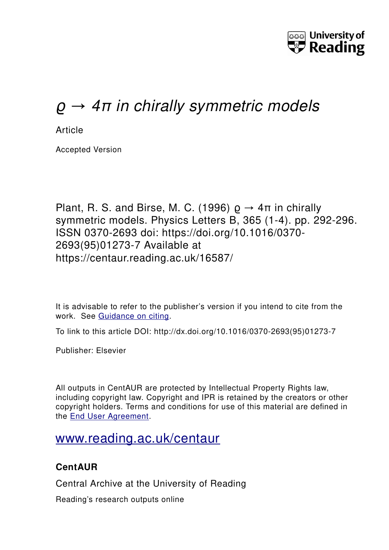

# ϱ *→ 4π in chirally symmetric models*

**Article** 

Accepted Version

Plant, R. S. and Birse, M. C. (1996)  $\rho \rightarrow 4\pi$  in chirally symmetric models. Physics Letters B, 365 (1-4). pp. 292-296. ISSN 0370-2693 doi: https://doi.org/10.1016/0370- 2693(95)01273-7 Available at https://centaur.reading.ac.uk/16587/

It is advisable to refer to the publisher's version if you intend to cite from the work. See [Guidance on citing.](http://centaur.reading.ac.uk/71187/10/CentAUR%20citing%20guide.pdf)

To link to this article DOI: http://dx.doi.org/10.1016/0370-2693(95)01273-7

Publisher: Elsevier

All outputs in CentAUR are protected by Intellectual Property Rights law, including copyright law. Copyright and IPR is retained by the creators or other copyright holders. Terms and conditions for use of this material are defined in the [End User Agreement.](http://centaur.reading.ac.uk/licence)

## [www.reading.ac.uk/centaur](http://www.reading.ac.uk/centaur)

#### **CentAUR**

Central Archive at the University of Reading

Reading's research outputs online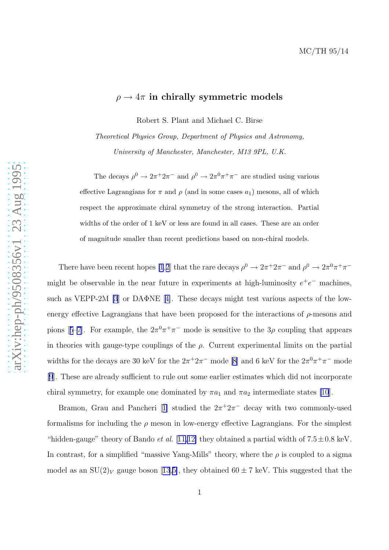### $\rho \rightarrow 4\pi$  in chirally symmetric models

Robert S. Plant and Michael C. Birse

Theoretical Physics Group, Department of Physics and Astronomy, University of Manchester, Manchester, M13 9PL, U.K.

The decays  $\rho^0 \to 2\pi^+ 2\pi^-$  and  $\rho^0 \to 2\pi^0 \pi^+ \pi^-$  are studied using various effective Lagrangians for  $\pi$  and  $\rho$  (and in some cases  $a_1$ ) mesons, all of which respect the approximate chiral symmetry of the strong interaction. Partial widths of the order of 1 keV or less are found in all cases. These are an order of magnitude smaller than recent predictions based on non-chiral models.

There have been recent hopes [\[1](#page-8-0),[2](#page-8-0)] that the rare decays  $\rho^0 \to 2\pi^+ 2\pi^-$  and  $\rho^0 \to 2\pi^0 \pi^+ \pi^$ might be observable in the near future in experiments at high-luminosity  $e^+e^-$  machines, such as VEPP-2M [\[3](#page-8-0)]or DAΦNE [[4\]](#page-8-0). These decays might test various aspects of the lowenergy effective Lagrangians that have been proposed for the interactions of  $\rho$ -mesons and pions[[5–7](#page-9-0)]. For example, the  $2\pi^0 \pi^+ \pi^-$  mode is sensitive to the  $3\rho$  coupling that appears in theories with gauge-type couplings of the  $\rho$ . Current experimental limits on the partial widths for the decays are 30 keV for the  $2\pi^+ 2\pi^-$  mode [\[8](#page-9-0)] and 6 keV for the  $2\pi^0 \pi^+ \pi^-$  mode [\[9](#page-9-0)]. These are already sufficient to rule out some earlier estimates which did not incorporate chiral symmetry, for example one dominated by  $\pi a_1$  and  $\pi a_2$  intermediate states [\[10](#page-9-0)].

Bramon,Grau and Pancheri [[1\]](#page-8-0) studied the  $2\pi^2 2\pi^-$  decay with two commonly-used formalisms for including the  $\rho$  meson in low-energy effective Lagrangians. For the simplest "hidden-gauge" theory of Bando *et al.* [[11,12\]](#page-9-0) they obtained a partial width of  $7.5 \pm 0.8$  keV. In contrast, for a simplified "massive Yang-Mills" theory, where the  $\rho$  is coupled to a sigma modelas an  $SU(2)_V$  gauge boson [[13](#page-9-0),[5\]](#page-9-0), they obtained  $60 \pm 7$  keV. This suggested that the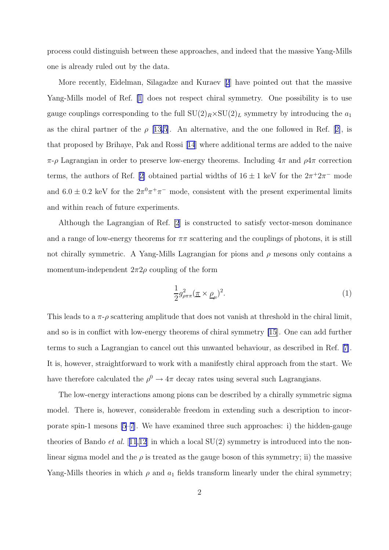process could distinguish between these approaches, and indeed that the massive Yang-Mills one is already ruled out by the data.

More recently, Eidelman, Silagadze and Kuraev[[2](#page-8-0)] have pointed out that the massive Yang-Mills model of Ref. [\[1](#page-8-0)] does not respect chiral symmetry. One possibility is to use gauge couplings corresponding to the full  $SU(2)_R \times SU(2)_L$  symmetry by introducing the  $a_1$ asthe chiral partner of the  $\rho$  [\[13,5\]](#page-9-0). An alternative, and the one followed in Ref. [[2\]](#page-8-0), is that proposed by Brihaye, Pak and Rossi[[14](#page-9-0)] where additional terms are added to the naive  $\pi$ -ρ Lagrangian in order to preserve low-energy theorems. Including  $4\pi$  and  $\rho 4\pi$  correction terms,the authors of Ref. [[2\]](#page-8-0) obtained partial widths of  $16 \pm 1$  keV for the  $2\pi^+2\pi^-$  mode and  $6.0 \pm 0.2$  keV for the  $2\pi^0 \pi^+ \pi^-$  mode, consistent with the present experimental limits and within reach of future experiments.

Although the Lagrangian of Ref. [\[2](#page-8-0)] is constructed to satisfy vector-meson dominance and a range of low-energy theorems for  $\pi\pi$  scattering and the couplings of photons, it is still not chirally symmetric. A Yang-Mills Lagrangian for pions and  $\rho$  mesons only contains a momentum-independent  $2\pi 2\rho$  coupling of the form

$$
\frac{1}{2}g_{\rho\pi\pi}^2(\underline{\pi}\times\underline{\rho}_{\mu})^2.
$$
 (1)

This leads to a  $\pi$ - $\rho$  scattering amplitude that does not vanish at threshold in the chiral limit, and so is in conflict with low-energy theorems of chiral symmetry [\[15](#page-9-0)]. One can add further terms to such a Lagrangian to cancel out this unwanted behaviour, as described in Ref.[[7\]](#page-9-0). It is, however, straightforward to work with a manifestly chiral approach from the start. We have therefore calculated the  $\rho^0 \to 4\pi$  decay rates using several such Lagrangians.

The low-energy interactions among pions can be described by a chirally symmetric sigma model. There is, however, considerable freedom in extending such a description to incorporate spin-1 mesons [\[5–7\]](#page-9-0). We have examined three such approaches: i) the hidden-gauge theories of Bando *et al.* [[11](#page-9-0),[12](#page-9-0)] in which a local  $SU(2)$  symmetry is introduced into the nonlinear sigma model and the  $\rho$  is treated as the gauge boson of this symmetry; ii) the massive Yang-Mills theories in which  $\rho$  and  $a_1$  fields transform linearly under the chiral symmetry;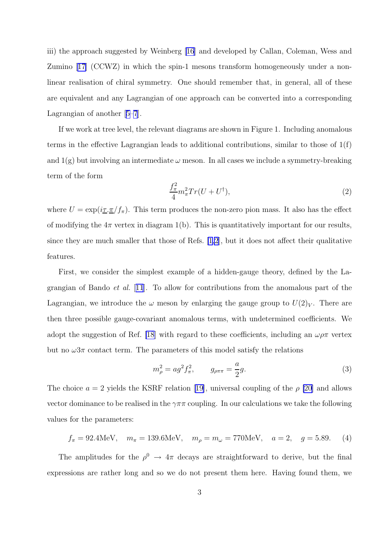iii) the approach suggested by Weinberg [\[16](#page-9-0)] and developed by Callan, Coleman, Wess and Zumino[[17\]](#page-9-0) (CCWZ) in which the spin-1 mesons transform homogeneously under a nonlinear realisation of chiral symmetry. One should remember that, in general, all of these are equivalent and any Lagrangian of one approach can be converted into a corresponding Lagrangian of another[[5–7](#page-9-0)].

If we work at tree level, the relevant diagrams are shown in Figure 1. Including anomalous terms in the effective Lagrangian leads to additional contributions, similar to those of 1(f) and  $1(g)$  but involving an intermediate  $\omega$  meson. In all cases we include a symmetry-breaking term of the form

$$
\frac{f_{\pi}^2}{4}m_{\pi}^2Tr(U+U^{\dagger}),\tag{2}
$$

where  $U = \exp(i \tau \cdot \pi / f_\pi)$ . This term produces the non-zero pion mass. It also has the effect of modifying the  $4\pi$  vertex in diagram 1(b). This is quantitatively important for our results, since they are much smaller that those of Refs. [\[1,2](#page-8-0)], but it does not affect their qualitative features.

First, we consider the simplest example of a hidden-gauge theory, defined by the Lagrangian of Bando et al. [[11](#page-9-0)]. To allow for contributions from the anomalous part of the Lagrangian, we introduce the  $\omega$  meson by enlarging the gauge group to  $U(2)<sub>V</sub>$ . There are then three possible gauge-covariant anomalous terms, with undetermined coefficients. We adopt the suggestion of Ref. [\[18](#page-9-0)] with regard to these coefficients, including an  $\omega \rho \pi$  vertex but no  $\omega 3\pi$  contact term. The parameters of this model satisfy the relations

$$
m_{\rho}^{2} = ag^{2} f_{\pi}^{2}, \qquad g_{\rho\pi\pi} = \frac{a}{2} g. \tag{3}
$$

The choice  $a = 2$  yields the KSRF relation [\[19\]](#page-9-0), universal coupling of the  $\rho$  [\[20](#page-9-0)] and allows vector dominance to be realised in the  $\gamma \pi \pi$  coupling. In our calculations we take the following values for the parameters:

$$
f_{\pi} = 92.4 \text{MeV}, \quad m_{\pi} = 139.6 \text{MeV}, \quad m_{\rho} = m_{\omega} = 770 \text{MeV}, \quad a = 2, \quad g = 5.89.
$$
 (4)

The amplitudes for the  $\rho^0 \rightarrow 4\pi$  decays are straightforward to derive, but the final expressions are rather long and so we do not present them here. Having found them, we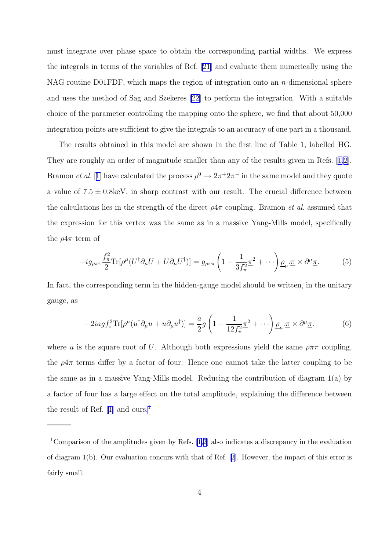must integrate over phase space to obtain the corresponding partial widths. We express the integrals in terms of the variables of Ref. [\[21\]](#page-10-0) and evaluate them numerically using the NAG routine D01FDF, which maps the region of integration onto an  $n$ -dimensional sphere and uses the method of Sag and Szekeres [\[22](#page-10-0)] to perform the integration. With a suitable choice of the parameter controlling the mapping onto the sphere, we find that about 50,000 integration points are sufficient to give the integrals to an accuracy of one part in a thousand.

The results obtained in this model are shown in the first line of Table 1, labelled HG. They are roughly an order of magnitude smaller than any of the results given in Refs.[[1,2\]](#page-8-0). Bramon *et al.* [[1\]](#page-8-0) have calculated the process  $\rho^0 \to 2\pi^+ 2\pi^-$  in the same model and they quote a value of  $7.5 \pm 0.8$ keV, in sharp contrast with our result. The crucial difference between the calculations lies in the strength of the direct  $\rho 4\pi$  coupling. Bramon *et al.* assumed that the expression for this vertex was the same as in a massive Yang-Mills model, specifically the  $\rho 4\pi$  term of

$$
-ig_{\rho\pi\pi}\frac{f_{\pi}^2}{2}\text{Tr}[\rho^{\mu}(U^{\dagger}\partial_{\mu}U + U\partial_{\mu}U^{\dagger})] = g_{\rho\pi\pi}\left(1 - \frac{1}{3f_{\pi}^2}\underline{\pi}^2 + \cdots\right)\underline{\rho}_{\mu}\cdot\underline{\pi}\times\partial^{\mu}\underline{\pi}.
$$
 (5)

In fact, the corresponding term in the hidden-gauge model should be written, in the unitary gauge, as

$$
-2iagf_{\pi}^{2}\text{Tr}[\rho^{\mu}(u^{\dagger}\partial_{\mu}u+u\partial_{\mu}u^{\dagger})]=\frac{a}{2}g\left(1-\frac{1}{12f_{\pi}^{2}}\underline{\pi}^{2}+\cdots\right)\underline{\rho}_{\mu}\cdot\underline{\pi}\times\partial^{\mu}\underline{\pi}.
$$
 (6)

where u is the square root of U. Although both expressions yield the same  $\rho \pi \pi$  coupling, the  $\rho 4\pi$  terms differ by a factor of four. Hence one cannot take the latter coupling to be the same as in a massive Yang-Mills model. Reducing the contribution of diagram 1(a) by a factor of four has a large effect on the total amplitude, explaining the difference between theresult of Ref.  $[1]$  $[1]$  and ours.<sup>1</sup>

<sup>1</sup>Comparison of the amplitudes given by Refs. [\[1,2](#page-8-0)] also indicates a discrepancy in the evaluation of diagram 1(b). Our evaluation concurs with that of Ref.[[2\]](#page-8-0). However, the impact of this error is fairly small.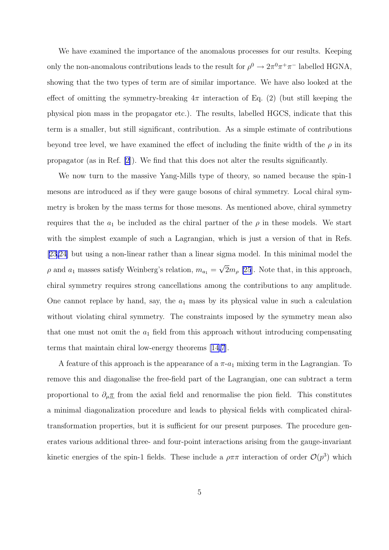We have examined the importance of the anomalous processes for our results. Keeping only the non-anomalous contributions leads to the result for  $\rho^0 \to 2\pi^0 \pi^+ \pi^-$  labelled HGNA, showing that the two types of term are of similar importance. We have also looked at the effect of omitting the symmetry-breaking  $4\pi$  interaction of Eq. (2) (but still keeping the physical pion mass in the propagator etc.). The results, labelled HGCS, indicate that this term is a smaller, but still significant, contribution. As a simple estimate of contributions beyond tree level, we have examined the effect of including the finite width of the  $\rho$  in its propagator (as in Ref. [\[2](#page-8-0)]). We find that this does not alter the results significantly.

We now turn to the massive Yang-Mills type of theory, so named because the spin-1 mesons are introduced as if they were gauge bosons of chiral symmetry. Local chiral symmetry is broken by the mass terms for those mesons. As mentioned above, chiral symmetry requires that the  $a_1$  be included as the chiral partner of the  $\rho$  in these models. We start with the simplest example of such a Lagrangian, which is just a version of that in Refs. [\[23,24](#page-10-0)] but using a non-linear rather than a linear sigma model. In this minimal model the  $\rho$  and  $a_1$  masses satisfy Weinberg's relation,  $m_{a_1} = \sqrt{2}m_{\rho}$  [\[25](#page-10-0)]. Note that, in this approach, chiral symmetry requires strong cancellations among the contributions to any amplitude. One cannot replace by hand, say, the  $a_1$  mass by its physical value in such a calculation without violating chiral symmetry. The constraints imposed by the symmetry mean also that one must not omit the  $a_1$  field from this approach without introducing compensating terms that maintain chiral low-energy theorems [\[14,7](#page-9-0)].

A feature of this approach is the appearance of a  $\pi$ - $a_1$  mixing term in the Lagrangian. To remove this and diagonalise the free-field part of the Lagrangian, one can subtract a term proportional to  $\partial_\mu \pi$  from the axial field and renormalise the pion field. This constitutes a minimal diagonalization procedure and leads to physical fields with complicated chiraltransformation properties, but it is sufficient for our present purposes. The procedure generates various additional three- and four-point interactions arising from the gauge-invariant kinetic energies of the spin-1 fields. These include a  $\rho \pi \pi$  interaction of order  $\mathcal{O}(p^3)$  which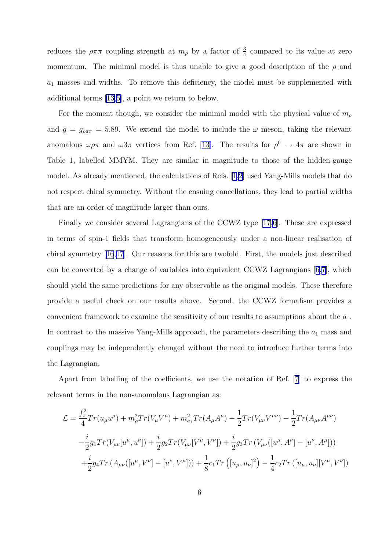reduces the  $\rho \pi \pi$  coupling strength at  $m_{\rho}$  by a factor of  $\frac{3}{4}$  compared to its value at zero momentum. The minimal model is thus unable to give a good description of the  $\rho$  and  $a_1$  masses and widths. To remove this deficiency, the model must be supplemented with additional terms [\[13,5\]](#page-9-0), a point we return to below.

For the moment though, we consider the minimal model with the physical value of  $m<sub>\rho</sub>$ and  $g = g_{\rho \pi \pi} = 5.89$ . We extend the model to include the  $\omega$  meson, taking the relevant anomalous $\omega \rho \pi$  and  $\omega 3\pi$  vertices from Ref. [[13\]](#page-9-0). The results for  $\rho^0 \to 4\pi$  are shown in Table 1, labelled MMYM. They are similar in magnitude to those of the hidden-gauge model. As already mentioned, the calculations of Refs. [\[1,2](#page-8-0)] used Yang-Mills models that do not respect chiral symmetry. Without the ensuing cancellations, they lead to partial widths that are an order of magnitude larger than ours.

Finally we consider several Lagrangians of the CCWZ type [\[17,6](#page-9-0)]. These are expressed in terms of spin-1 fields that transform homogeneously under a non-linear realisation of chiral symmetry[[16](#page-9-0),[17](#page-9-0)]. Our reasons for this are twofold. First, the models just described can be converted by a change of variables into equivalent CCWZ Lagrangians[[6,7\]](#page-9-0), which should yield the same predictions for any observable as the original models. These therefore provide a useful check on our results above. Second, the CCWZ formalism provides a convenient framework to examine the sensitivity of our results to assumptions about the  $a_1$ . In contrast to the massive Yang-Mills approach, the parameters describing the  $a_1$  mass and couplings may be independently changed without the need to introduce further terms into the Lagrangian.

Apart from labelling of the coefficients, we use the notation of Ref. [\[7](#page-9-0)] to express the relevant terms in the non-anomalous Lagrangian as:

$$
\mathcal{L} = \frac{f_{\pi}^{2}}{4} Tr(u_{\mu}u^{\mu}) + m_{\rho}^{2} Tr(V_{\mu}V^{\mu}) + m_{a_{1}}^{2} Tr(A_{\mu}A^{\mu}) - \frac{1}{2} Tr(V_{\mu\nu}V^{\mu\nu}) - \frac{1}{2} Tr(A_{\mu\nu}A^{\mu\nu})
$$

$$
-\frac{i}{2} g_{1} Tr(V_{\mu\nu}[u^{\mu}, u^{\nu}]) + \frac{i}{2} g_{2} Tr(V_{\mu\nu}[V^{\mu}, V^{\nu}]) + \frac{i}{2} g_{3} Tr(V_{\mu\nu}([u^{\mu}, A^{\nu}] - [u^{\nu}, A^{\mu}]))
$$

$$
+\frac{i}{2} g_{4} Tr(A_{\mu\nu}([u^{\mu}, V^{\nu}] - [u^{\nu}, V^{\mu}])) + \frac{1}{8} c_{1} Tr([u_{\mu}, u_{\nu}]^{2}) - \frac{1}{4} c_{2} Tr([u_{\mu}, u_{\nu}][V^{\mu}, V^{\nu}])
$$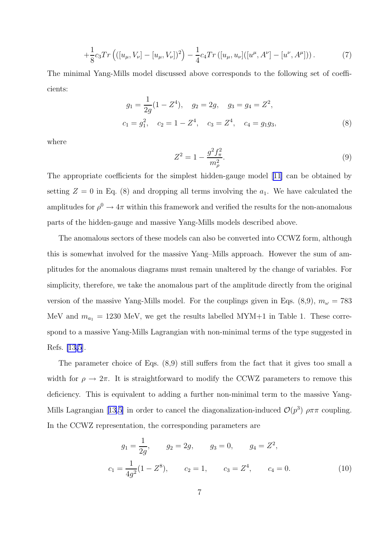$$
+\frac{1}{8}c_3Tr\left(([u_\mu, V_\nu]-[u_\mu, V_\nu])^2\right)-\frac{1}{4}c_4Tr\left([u_\mu, u_\nu]([u^\mu, A^\nu]-[u^\nu, A^\mu])\right). \tag{7}
$$

The minimal Yang-Mills model discussed above corresponds to the following set of coefficients:

$$
g_1 = \frac{1}{2g}(1 - Z^4), \quad g_2 = 2g, \quad g_3 = g_4 = Z^2,
$$
  

$$
c_1 = g_1^2, \quad c_2 = 1 - Z^4, \quad c_3 = Z^4, \quad c_4 = g_1 g_3,
$$
 (8)

where

$$
Z^2 = 1 - \frac{g^2 f_\pi^2}{m_\rho^2}.\tag{9}
$$

The appropriate coefficients for the simplest hidden-gauge model [\[11\]](#page-9-0) can be obtained by setting  $Z = 0$  in Eq. (8) and dropping all terms involving the  $a_1$ . We have calculated the amplitudes for  $\rho^0 \to 4\pi$  within this framework and verified the results for the non-anomalous parts of the hidden-gauge and massive Yang-Mills models described above.

The anomalous sectors of these models can also be converted into CCWZ form, although this is somewhat involved for the massive Yang–Mills approach. However the sum of amplitudes for the anomalous diagrams must remain unaltered by the change of variables. For simplicity, therefore, we take the anomalous part of the amplitude directly from the original version of the massive Yang-Mills model. For the couplings given in Eqs. (8,9),  $m_{\omega} = 783$ MeV and  $m_{a_1} = 1230$  MeV, we get the results labelled MYM+1 in Table 1. These correspond to a massive Yang-Mills Lagrangian with non-minimal terms of the type suggested in Refs. [\[13,5](#page-9-0)].

The parameter choice of Eqs. (8,9) still suffers from the fact that it gives too small a width for  $\rho \to 2\pi$ . It is straightforward to modify the CCWZ parameters to remove this deficiency. This is equivalent to adding a further non-minimal term to the massive Yang-MillsLagrangian [[13,5\]](#page-9-0) in order to cancel the diagonalization-induced  $\mathcal{O}(p^3)$   $\rho \pi \pi$  coupling. In the CCWZ representation, the corresponding parameters are

$$
g_1 = \frac{1}{2g}
$$
,  $g_2 = 2g$ ,  $g_3 = 0$ ,  $g_4 = Z^2$ ,  
 $c_1 = \frac{1}{4g^2}(1 - Z^8)$ ,  $c_2 = 1$ ,  $c_3 = Z^4$ ,  $c_4 = 0$ . (10)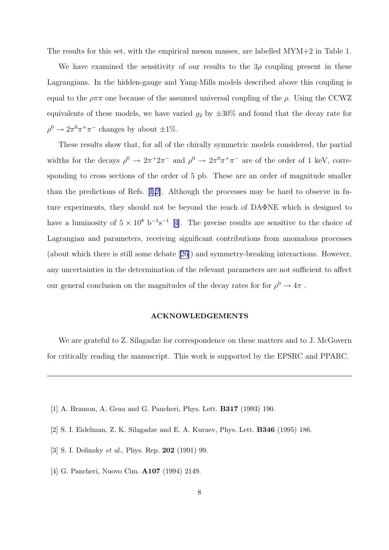<span id="page-8-0"></span>The results for this set, with the empirical meson masses, are labelled MYM+2 in Table 1.

We have examined the sensitivity of our results to the  $3\rho$  coupling present in these Lagrangians. In the hidden-gauge and Yang-Mills models described above this coupling is equal to the  $\rho \pi \pi$  one because of the assumed universal coupling of the  $\rho$ . Using the CCWZ equivalents of these models, we have varied  $g_2$  by  $\pm 30\%$  and found that the decay rate for  $\rho^0 \to 2\pi^0 \pi^+ \pi^-$  changes by about  $\pm 1\%$ .

These results show that, for all of the chirally symmetric models considered, the partial widths for the decays  $\rho^0 \to 2\pi^+ 2\pi^-$  and  $\rho^0 \to 2\pi^0 \pi^+ \pi^-$  are of the order of 1 keV, corresponding to cross sections of the order of 5 pb. These are an order of magnitude smaller than the predictions of Refs. [1,2]. Although the processes may be hard to observe in future experiments, they should not be beyond the reach of DAΦNE which is designed to have a luminosity of  $5 \times 10^8$  b<sup>-1</sup>s<sup>-1</sup> [4]. The precise results are sensitive to the choice of Lagrangian and parameters, receiving significant contributions from anomalous processes (about which there is still some debate [\[26\]](#page-10-0)) and symmetry-breaking interactions. However, any uncertainties in the determination of the relevant parameters are not sufficient to affect our general conclusion on the magnitudes of the decay rates for for  $\rho^0 \to 4\pi$  .

#### ACKNOWLEDGEMENTS

We are grateful to Z. Silagadze for correspondence on these matters and to J. McGovern for critically reading the manuscript. This work is supported by the EPSRC and PPARC.

- [1] A. Bramon, A. Grau and G. Pancheri, Phys. Lett. B317 (1993) 190.
- [2] S. I. Eidelman, Z. K. Silagadze and E. A. Kuraev, Phys. Lett. B346 (1995) 186.
- [3] S. I. Dolinsky *et al.*, Phys. Rep. **202** (1991) 99.
- [4] G. Pancheri, Nuovo Cim. A107 (1994) 2149.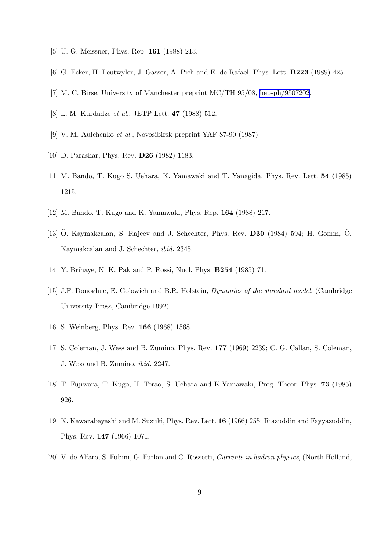- <span id="page-9-0"></span>[5] U.-G. Meissner, Phys. Rep. **161** (1988) 213.
- [6] G. Ecker, H. Leutwyler, J. Gasser, A. Pich and E. de Rafael, Phys. Lett. B223 (1989) 425.
- [7] M. C. Birse, University of Manchester preprint MC/TH 95/08, [hep-ph/9507202](http://uk.arxiv.org/abs/hep-ph/9507202).
- [8] L. M. Kurdadze et al., JETP Lett. 47 (1988) 512.
- [9] V. M. Aulchenko et al., Novosibirsk preprint YAF 87-90 (1987).
- [10] D. Parashar, Phys. Rev. D26 (1982) 1183.
- [11] M. Bando, T. Kugo S. Uehara, K. Yamawaki and T. Yanagida, Phys. Rev. Lett. 54 (1985) 1215.
- [12] M. Bando, T. Kugo and K. Yamawaki, Phys. Rep. 164 (1988) 217.
- [13] Ö. Kaymakcalan, S. Rajeev and J. Schechter, Phys. Rev.  $D30$  (1984) 594; H. Gomm, Ö. Kaymakcalan and J. Schechter, ibid. 2345.
- [14] Y. Brihaye, N. K. Pak and P. Rossi, Nucl. Phys. B254 (1985) 71.
- [15] J.F. Donoghue, E. Golowich and B.R. Holstein, Dynamics of the standard model, (Cambridge University Press, Cambridge 1992).
- [16] S. Weinberg, Phys. Rev. **166** (1968) 1568.
- [17] S. Coleman, J. Wess and B. Zumino, Phys. Rev. 177 (1969) 2239; C. G. Callan, S. Coleman, J. Wess and B. Zumino, ibid. 2247.
- [18] T. Fujiwara, T. Kugo, H. Terao, S. Uehara and K.Yamawaki, Prog. Theor. Phys. 73 (1985) 926.
- [19] K. Kawarabayashi and M. Suzuki, Phys. Rev. Lett. 16 (1966) 255; Riazuddin and Fayyazuddin, Phys. Rev. 147 (1966) 1071.
- [20] V. de Alfaro, S. Fubini, G. Furlan and C. Rossetti, Currents in hadron physics, (North Holland,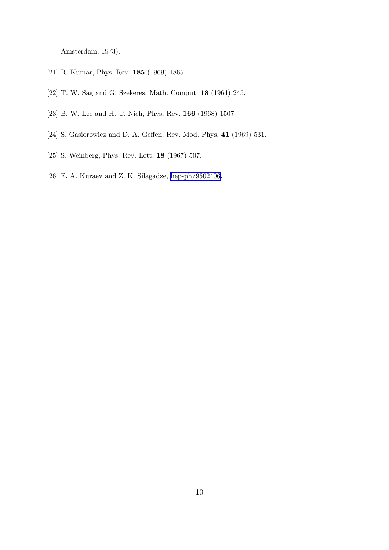<span id="page-10-0"></span>Amsterdam, 1973).

- [21] R. Kumar, Phys. Rev. 185 (1969) 1865.
- [22] T. W. Sag and G. Szekeres, Math. Comput. 18 (1964) 245.
- [23] B. W. Lee and H. T. Nieh, Phys. Rev. 166 (1968) 1507.
- [24] S. Gasiorowicz and D. A. Geffen, Rev. Mod. Phys. 41 (1969) 531.
- [25] S. Weinberg, Phys. Rev. Lett. 18 (1967) 507.
- [26] E. A. Kuraev and Z. K. Silagadze, [hep-ph/9502406](http://uk.arxiv.org/abs/hep-ph/9502406).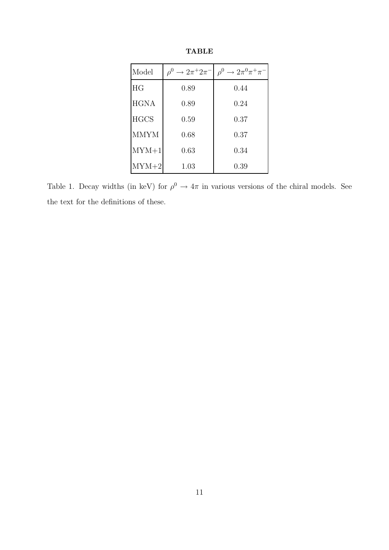| Model       | $\rightarrow 2\pi^+ 2\pi^-$<br>$\rho^0$ | $\rho^0 \rightarrow 2\pi^0 \pi^+ \pi^-$ |
|-------------|-----------------------------------------|-----------------------------------------|
| HG          | 0.89                                    | 0.44                                    |
| <b>HGNA</b> | 0.89                                    | 0.24                                    |
| <b>HGCS</b> | 0.59                                    | 0.37                                    |
| <b>MMYM</b> | 0.68                                    | 0.37                                    |
| $MYM+1$     | 0.63                                    | 0.34                                    |
| $MYM+2$     | 1.03                                    | 0.39                                    |

TABLE

Table 1. Decay widths (in keV) for  $\rho^0 \to 4\pi$  in various versions of the chiral models. See the text for the definitions of these.